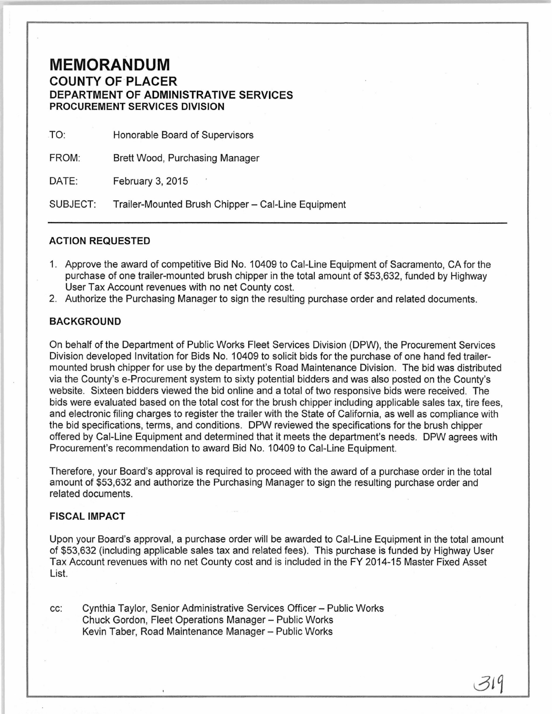## **MEMORANDUM COUNTY OF PLACER DEPARTMENT OF ADMINISTRATIVE SERVICES**

**PROCUREMENT SERVICES DIVISION** 

TO: Honorable Board of Supervisors

FROM: Brett Wood, Purchasing Manager

DATE: February 3, 2015

SUBJECT: Trailer-Mounted Brush Chipper- Cal-Line Equipment

## **ACTION REQUESTED**

- 1. Approve the award of competitive Bid No. 10409 to Cal-Line Equipment of Sacramento, CA for the purchase of one trailer-mounted brush chipper in the total amount of \$53,632, funded by Highway User Tax Account revenues with no net County cost.
- 2. Authorize the Purchasing Manager to sign the resulting purchase order and related documents.

## **BACKGROUND**

On behalf of the Department of Public Works Fleet Services Division (DPW), the Procurement Services Division developed Invitation for Bids No. 10409 to solicit bids for the purchase of one hand fed trailermounted brush chipper for use by the department's Road Maintenance Division. The bid was distributed via the County's e-Procurement system to sixty potential bidders and was also posted on the County's website. Sixteen bidders viewed the bid online and a total of two responsive bids were received. The bids were evaluated based on the total cost for the brush chipper including applicable sales tax, tire fees, and electronic filing charges to register the trailer with the State of California, as well as compliance with the bid specifications, terms, and conditions. DPW reviewed the specifications for the brush chipper offered by Cal-Line Equipment and determined that it meets the department's needs. DPW agrees with Procurement's recommendation to award Bid No. 10409 to Cal-Line Equipment.

Therefore, your Board's approval is required to proceed with the award of a purchase order in the total amount of \$53,632 and authorize the Purchasing Manager to sign the resulting purchase order and related documents.

## **FISCAL IMPACT**

Upon your Board's approval, a purchase order will be awarded to Cal-Line Equipment in the total amount of \$53,632 (including applicable sales tax and related fees). This purchase is funded by Highway User Tax Account revenues with no net County cost and is included in the FY 2014-15 Master Fixed Asset List.

cc: Cynthia Taylor, Senior Administrative Services Officer- Public Works Chuck Gordon, Fleet Operations Manager- Public Works Kevin Taber, Road Maintenance Manager- Public Works